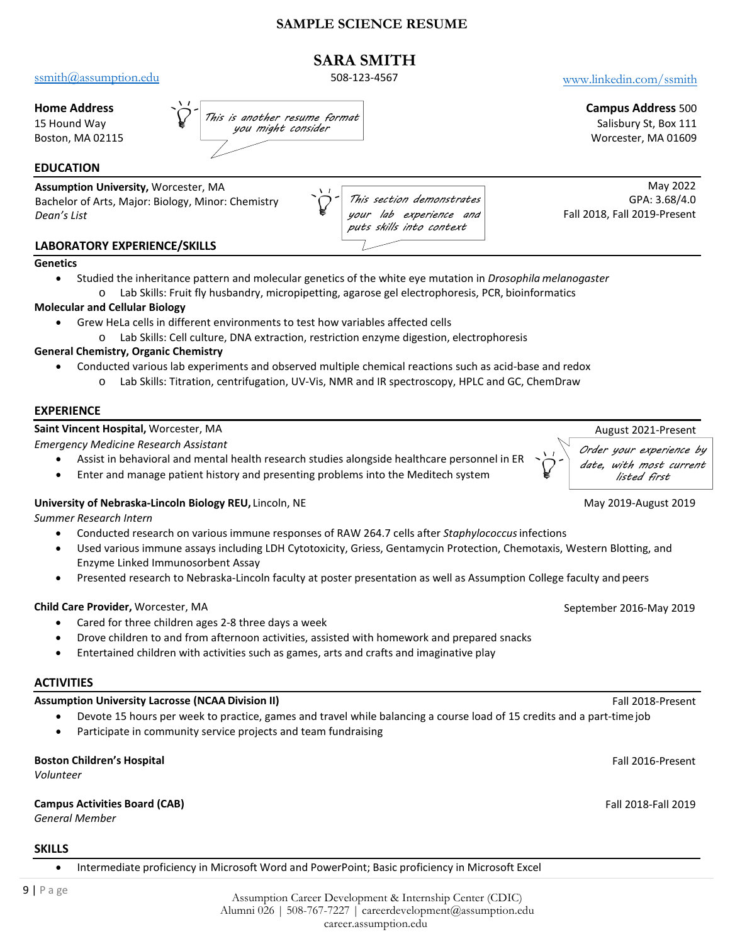### **SAMPLE SCIENCE RESUME**

# **SARA SMITH**

[ssmith@assumption.edu](mailto:ssmith@assumption.edu) 508-123-4567 [www.linkedin.com/ssmi](http://www.linkedin.com/pgreyhound)th

#### **Home Address**

15 Hound Way Boston, MA 02115 *This is another resume format you might consider*

#### **EDUCATION**

**Assumption University,** Worcester, MA Bachelor of Arts, Major: Biology, Minor: Chemistry

*This section demonstrates your lab experience and puts skills into context*

May 2022 GPA: 3.68/4.0 Fall 2018, Fall 2019-Present

### **LABORATORY EXPERIENCE/SKILLS**

#### **Genetics**

*Dean's List* 

• Studied the inheritance pattern and molecular genetics of the white eye mutation in *Drosophila melanogaster* o Lab Skills: Fruit fly husbandry, micropipetting, agarose gel electrophoresis, PCR, bioinformatics

#### **Molecular and Cellular Biology**

- Grew HeLa cells in different environments to test how variables affected cells
	- o Lab Skills: Cell culture, DNA extraction, restriction enzyme digestion, electrophoresis

#### **General Chemistry, Organic Chemistry**

- Conducted various lab experiments and observed multiple chemical reactions such as acid-base and redox
	- o Lab Skills: Titration, centrifugation, UV-Vis, NMR and IR spectroscopy, HPLC and GC, ChemDraw

#### **EXPERIENCE**

#### **Saint Vincent Hospital,** Worcester, MA August 2021-Present

*Emergency Medicine Research Assistant*

- Assist in behavioral and mental health research studies alongside healthcare personnel in ER
- Enter and manage patient history and presenting problems into the Meditech system

#### **University of Nebraska-Lincoln Biology REU, Lincoln, NE** May 2019-August 2019-August 2019

*Summer Research Intern*

- Conducted research on various immune responses of RAW 264.7 cells after *Staphylococcus*infections
- Used various immune assays including LDH Cytotoxicity, Griess, Gentamycin Protection, Chemotaxis, Western Blotting, and Enzyme Linked Immunosorbent Assay
- Presented research to Nebraska-Lincoln faculty at poster presentation as well as Assumption College faculty and peers

#### **Child Care Provider,** Worcester, MA **September 2016-May 2019** September 2016-May 2019

- Cared for three children ages 2-8 three days a week
- Drove children to and from afternoon activities, assisted with homework and prepared snacks
- Entertained children with activities such as games, arts and crafts and imaginative play

#### **ACTIVITIES**

# **Assumption University Lacrosse (NCAA Division II)** Fall 2018-Present

- Devote 15 hours per week to practice, games and travel while balancing a course load of 15 credits and a part-timejob
- Participate in community service projects and team fundraising

### **Boston Children's Hospital** Fall 2016-Present

*Volunteer*

#### **Campus Activities Board (CAB)** Fall 2018-Fall 2019

*General Member*

#### **SKILLS**

• Intermediate proficiency in Microsoft Word and PowerPoint; Basic proficiency in Microsoft Excel

Assumption Career Development & Internship Center (CDIC) Alumni 026 | 508-767-7227 | [careerdevelopment@assumption.ed](mailto:careerdevelopment@assumption.edu)u career.assumption.edu



**Campus Address** 500 Salisbury St, Box 111 Worcester, MA 01609

*Order your experience by date, with most current listed first*